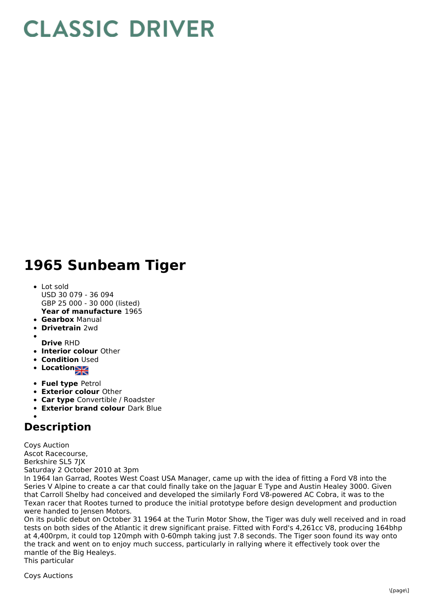## **CLASSIC DRIVER**

## **1965 Sunbeam Tiger**

- **Year of manufacture** 1965 • Lot sold USD 30 079 - 36 094 GBP 25 000 - 30 000 (listed)
- **Gearbox** Manual
- **Drivetrain** 2wd  $\bullet$
- 
- **Drive** RHD
- **Interior colour** Other
- **Condition Used**
- Location<sub>a</sub>
- **Fuel type** Petrol
- **Exterior colour** Other
- **Car type** Convertible / Roadster
- **Exterior brand colour** Dark Blue

## **Description**

Coys Auction Ascot Racecourse, Berkshire SL5 7JX Saturday 2 October 2010 at 3pm

In 1964 Ian Garrad, Rootes West Coast USA Manager, came up with the idea of fitting a Ford V8 into the Series V Alpine to create a car that could finally take on the Jaguar E Type and Austin Healey 3000. Given that Carroll Shelby had conceived and developed the similarly Ford V8-powered AC Cobra, it was to the Texan racer that Rootes turned to produce the initial prototype before design development and production were handed to Jensen Motors.

On its public debut on October 31 1964 at the Turin Motor Show, the Tiger was duly well received and in road tests on both sides of the Atlantic it drew significant praise. Fitted with Ford's 4,261cc V8, producing 164bhp at 4,400rpm, it could top 120mph with 0-60mph taking just 7.8 seconds. The Tiger soon found its way onto the track and went on to enjoy much success, particularly in rallying where it effectively took over the mantle of the Big Healeys. This particular